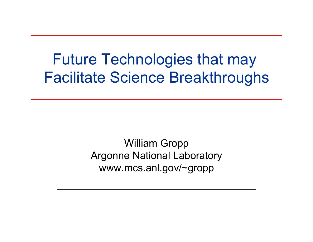#### Future Technologies that may Facilitate Science Breakthroughs

William Gropp Argonne National Laboratory www.mcs.anl.gov/~gropp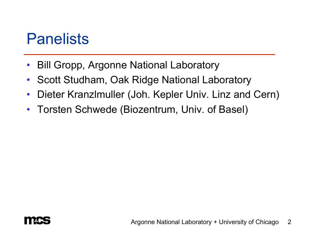#### **Panelists**

- Bill Gropp, Argonne National Laboratory
- Scott Studham, Oak Ridge National Laboratory
- Dieter Kranzlmuller (Joh. Kepler Univ. Linz and Cern)
- Torsten Schwede (Biozentrum, Univ. of Basel)

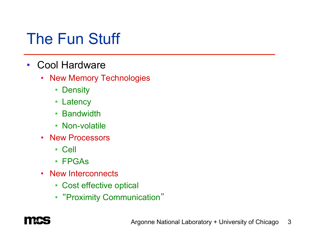### The Fun Stuff

- Cool Hardware
	- New Memory Technologies
		- Density
		- Latency
		- Bandwidth
		- Non-volatile
	- New Processors
		- Cell
		- FPGAs
	- New Interconnects
		- Cost effective optical
		- "Proximity Communication"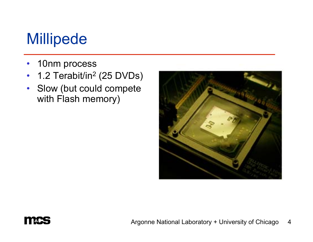# Millipede

- 10nm process
- 1.2 Terabit/in<sup>2</sup> (25 DVDs)
- Slow (but could compete with Flash memory)





Argonne National Laboratory + University of Chicago 4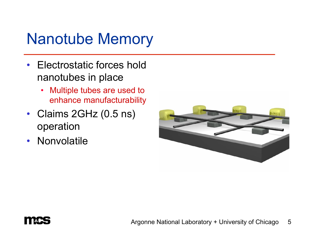### Nanotube Memory

- Electrostatic forces hold nanotubes in place
	- Multiple tubes are used to enhance manufacturability
- Claims 2GHz (0.5 ns) operation
- Nonvolatile



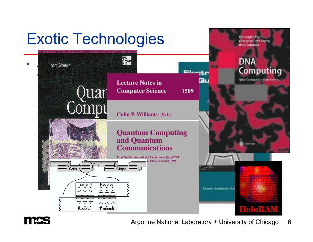# Exotic Technologies





Argonne National Laboratory + University of Chicago 6

**Cheorghe Paun** Grzegorz Rozenberg **Arto Salomaa**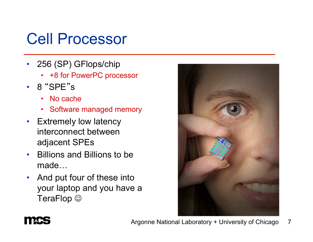# Cell Processor

- 256 (SP) GFlops/chip
	- +8 for PowerPC processor
- 8 "SPE" s
	- No cache
	- Software managed memory
- Extremely low latency interconnect between adjacent SPEs
- Billions and Billions to be made…
- And put four of these into your laptop and you have a TeraFlop  $\odot$

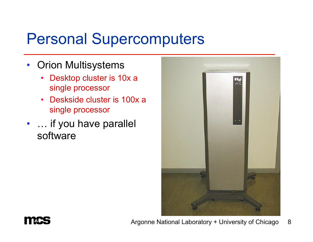#### Personal Supercomputers

- Orion Multisystems
	- Desktop cluster is 10x a single processor
	- Deskside cluster is 100x a single processor
- ... if you have parallel software



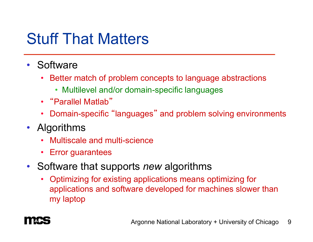#### Stuff That Matters

- Software
	- Better match of problem concepts to language abstractions
		- Multilevel and/or domain-specific languages
	- "Parallel Matlab"
	- Domain-specific "languages" and problem solving environments
- Algorithms
	- Multiscale and multi-science
	- Error guarantees
- Software that supports *new* algorithms
	- Optimizing for existing applications means optimizing for applications and software developed for machines slower than my laptop

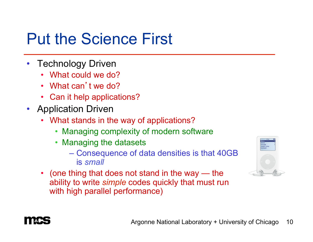# Put the Science First

- Technology Driven
	- What could we do?
	- What can't we do?
	- Can it help applications?
- Application Driven
	- What stands in the way of applications?
		- Managing complexity of modern software
		- Managing the datasets
			- Consequence of data densities is that 40GB is *small*
	- (one thing that does not stand in the way the ability to write *simple* codes quickly that must run with high parallel performance)